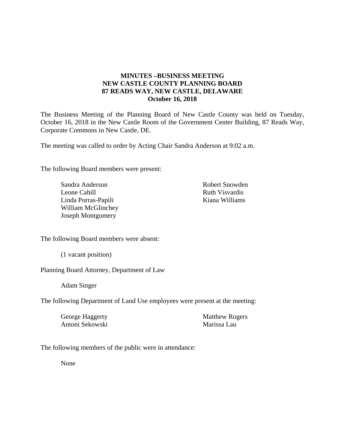## **MINUTES –BUSINESS MEETING NEW CASTLE COUNTY PLANNING BOARD 87 READS WAY, NEW CASTLE, DELAWARE October 16, 2018**

The Business Meeting of the Planning Board of New Castle County was held on Tuesday, October 16, 2018 in the New Castle Room of the Government Center Building, 87 Reads Way, Corporate Commons in New Castle, DE.

The meeting was called to order by Acting Chair Sandra Anderson at 9:02 a.m.

The following Board members were present:

Sandra Anderson Leone Cahill Linda Porras-Papili William McGlinchey Joseph Montgomery

Robert Snowden Ruth Visvardis Kiana Williams

The following Board members were absent:

(1 vacant position)

Planning Board Attorney, Department of Law

Adam Singer

The following Department of Land Use employees were present at the meeting:

George Haggerty Antoni Sekowski Matthew Rogers Marissa Lau

The following members of the public were in attendance:

None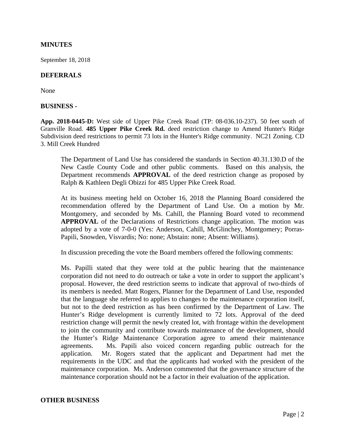### **MINUTES**

September 18, 2018

#### **DEFERRALS**

None

#### **BUSINESS -**

**App. 2018-0445-D:** West side of Upper Pike Creek Road (TP: 08-036.10-237). 50 feet south of Granville Road. **485 Upper Pike Creek Rd.** deed restriction change to Amend Hunter's Ridge Subdivision deed restrictions to permit 73 lots in the Hunter's Ridge community. NC21 Zoning. CD 3. Mill Creek Hundred

The Department of Land Use has considered the standards in Section 40.31.130.D of the New Castle County Code and other public comments. Based on this analysis, the Department recommends **APPROVAL** of the deed restriction change as proposed by Ralph & Kathleen Degli Obizzi for 485 Upper Pike Creek Road.

At its business meeting held on October 16, 2018 the Planning Board considered the recommendation offered by the Department of Land Use. On a motion by Mr. Montgomery, and seconded by Ms. Cahill, the Planning Board voted to recommend **APPROVAL** of the Declarations of Restrictions change application. The motion was adopted by a vote of 7-0-0 (Yes: Anderson, Cahill, McGlinchey, Montgomery; Porras-Papili, Snowden, Visvardis; No: none; Abstain: none; Absent: Williams).

In discussion preceding the vote the Board members offered the following comments:

Ms. Papilli stated that they were told at the public hearing that the maintenance corporation did not need to do outreach or take a vote in order to support the applicant's proposal. However, the deed restriction seems to indicate that approval of two-thirds of its members is needed. Matt Rogers, Planner for the Department of Land Use, responded that the language she referred to applies to changes to the maintenance corporation itself, but not to the deed restriction as has been confirmed by the Department of Law. The Hunter's Ridge development is currently limited to 72 lots. Approval of the deed restriction change will permit the newly created lot, with frontage within the development to join the community and contribute towards maintenance of the development, should the Hunter's Ridge Maintenance Corporation agree to amend their maintenance agreements. Ms. Papili also voiced concern regarding public outreach for the application. Mr. Rogers stated that the applicant and Department had met the requirements in the UDC and that the applicants had worked with the president of the maintenance corporation. Ms. Anderson commented that the governance structure of the maintenance corporation should not be a factor in their evaluation of the application.

#### **OTHER BUSINESS**